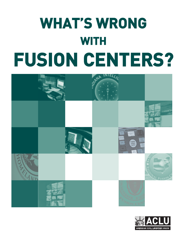# **WHAT'S WRONG WITH FUSION CENTERS?**



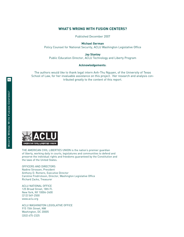### **WHAT'S WRONG WITH FUSION CENTERS?**

Published December 2007

**Michael German**

Policy Counsel for National Security, ACLU Washington Legislative Office

**Jay Stanley**

Public Education Director, ACLU Technology and Liberty Program

### **Acknowledgements**:

The authors would like to thank legal intern Anh-Thu Nguyen, of the University of Texas School of Law, for her invaluable assistance on this project. Her research and analysis contributed greatly to the content of this report.



THE AMERICAN CIVIL LIBERTIES UNION is the nation's premier guardian of liberty, working daily in courts, legislatures and communities to defend and preserve the individual rights and freedoms guaranteed by the Constitution and the laws of the United States.

OFFICERS AND DIRECTORS Nadine Strossen, President Anthony D. Romero, Executive Director Caroline Fredrickson, Director, Washington Legislative Office Richard Zacks, Treasurer

ACLU NATIONAL OFFICE 125 Broad Street, 18th Fl. New York, NY 10004-2400 (212) 549-2500 www.aclu.org

ACLU WASHINGTON LEGISLATIVE OFFICE 915 15th Street, NW Washington, DC 20005 (202) 675-2325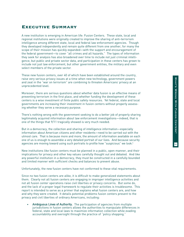# **Executive Summary**

A new institution is emerging in American life: Fusion Centers. These state, local and regional institutions were originally created to improve the sharing of anti-terrorism intelligence among different state, local and federal law enforcement agencies. Though they developed independently and remain quite different from one another, for many the scope of their mission has quickly expanded—with the support and encouragement of the federal government—to cover "all crimes and all hazards." The types of information they seek for analysis has also broadened over time to include not just criminal intelligence, but public and private sector data, and participation in these centers has grown to include not just law enforcement, but other government entities, the military and even select members of the private sector.

These new fusion centers, over 40 of which have been established around the country, raise very serious privacy issues at a time when new technology, government powers and zeal in the "war on terrorism" are combining to threaten Americans' privacy at an unprecedented level.

Moreover, there are serious questions about whether data fusion is an effective means of preventing terrorism in the first place, and whether funding the development of these centers is a wise investment of finite public safety resources. Yet federal, state and local governments are increasing their investment in fusion centers without properly assessing whether they serve a necessary purpose.

There's nothing wrong with the government seeking to do a better job of properly sharing legitimately acquired information about law enforcement investigations—indeed, that is one of the things that 9/11 tragically showed is very much needed.

But in a democracy, the collection and sharing of intelligence information—especially information about American citizens and other residents—need to be carried out with the utmost care. That is because more and more, the amount of information available on each one of us is enough to assemble a very detailed portrait of our lives. And because security agencies are moving toward using such portraits to profile how "suspicious" we look.<sup>1</sup>

New institutions like fusion centers must be planned in a public, open manner, and their implications for privacy and other key values carefully thought out and debated. And like any powerful institution in a democracy, they must be constructed in a carefully bounded and limited manner with sufficient checks and balances to prevent abuse.

Unfortunately, the new fusion centers have not conformed to these vital requirements.

Since no two fusion centers are alike, it is difficult to make generalized statements about them. Clearly not all fusion centers are engaging in improper intelligence activities and not all fusion center operations raise civil liberties or privacy concerns. But some do, and the lack of a proper legal framework to regulate their activities is troublesome. This report is intended to serve as a primer that explains what fusion centers are, and how and why they were created. It details potential problems fusion centers present to the privacy and civil liberties of ordinary Americans, including:

Ambiguous Lines of Authority. The participation of agencies from multiple jurisdictions in fusion centers allows the authorities to manipulate differences in federal, state and local laws to maximize information collection while evading accountability and oversight through the practice of "policy shopping."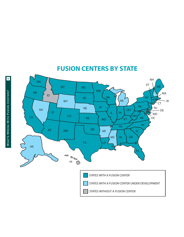

# **FUSION CENTERS BY STATE**

 $\overline{\mathbf{r}}$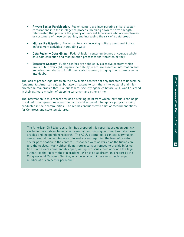- Private Sector Participation. Fusion centers are incorporating private-sector corporations into the intelligence process, breaking down the arm's length relationship that protects the privacy of innocent Americans who are employees or customers of these companies, and increasing the risk of a data breach.
- Military Participation. Fusion centers are involving military personnel in law enforcement activities in troubling ways.
- Data Fusion = Data Mining. Federal fusion center guidelines encourage whole sale data collection and manipulation processes that threaten privacy.
- Excessive Secrecy. Fusion centers are hobbled by excessive secrecy, which limits public oversight, impairs their ability to acquire essential information and impedes their ability to fulfill their stated mission, bringing their ultimate value into doubt.

The lack of proper legal limits on the new fusion centers not only threatens to undermine fundamental American values, but also threatens to turn them into wasteful and misdirected bureaucracies that, like our federal security agencies before 9/11, won't succeed in their ultimate mission of stopping terrorism and other crime.

The information in this report provides a starting point from which individuals can begin to ask informed questions about the nature and scope of intelligence programs being conducted in their communities. The report concludes with a list of recommendations for Congress and state legislatures.

The American Civil Liberties Union has prepared this report based upon publicly available materials including congressional testimony, government reports, news articles and independent research. The ACLU attempted to contact every fusion center around the country in an informal survey regarding the level of private sector participation in the centers. Responses were as varied as the fusion centers themselves. Many either did not return calls or refused to provide information. Some were commendably open, willing to discuss their work and the legal authorities that govern their operations. We have also drawn on a report by the Congressional Research Service, which was able to interview a much larger number of fusion center personnel. 2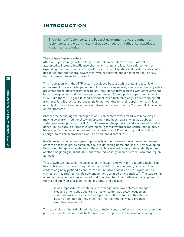# **INTRODUCTION**

The origins of fusion centers… Federal government encouragement of fusion centers… A dark history of abuse of secret intelligence activities… Fusion centers today.

### The origins of fusion centers

After 9/11, pressure grew for a larger state role in counterterrorism. At first, the FBI attempted to increase intelligence sharing with state and local law enforcement by expanding their Joint Terrorism Task Forces (JTTFs). But state and local officials continued to feel that the federal government was not sharing enough information to allow them to prevent terrorist attacks.<sup>3</sup>

This frustration with the JTTF system developed because while state and local law enforcement officers participating in JTTFs were given security clearances, secrecy rules prevented these officers from sharing any intelligence they acquired with other state and local colleagues who did not have such clearances. From a police department's point of view, it did them little good to send personnel into a task force only to have them cut off from and, for all practical purposes, no longer working for their departments. At least one city, Portland, Oregon, actually withdrew its officers from the Portland JTTF because of this problem.4

Another factor fueling the emergence of fusion centers was a trend within policing of moving away from traditional law enforcement methods toward what was dubbed "intelligence-led policing," or ILP. ILP focuses on the gathering and analysis of "intelligence" in the pursuit of proactive strategies "geared toward crime control and quality of life issues."5 One law enforcement official described ILP as policing that is "robust enough" to resist "terrorism as well as crime and disorder."6

Intelligence fusion centers grew in popularity among state and local law enforcement officers as they sought to establish a role in defending homeland security by developing their own intelligence capabilities. These centers evolved largely independently of one another, beginning in about 2003, and were individually tailored to meet local and regional needs.

This growth took place in the absence of any legal framework for regulating fusion centers' activities. This lack of regulation quickly led to "mission creep," in which fusion centers originally justified as anti-terrorism initiatives rapidly drifted toward an "allcrimes, all-hazards" policy "flexible enough for use in all emergencies."7 The leadership at some fusion centers has admitted that they switched to an "all-hazards" approach so they could apply for a broader range of grants, and because

it was impossible to create 'buy in' amongst local law enforcement agencies and other public sectors if a fusion center was solely focused on counterterrorism, as the center's partners often didn't feel threatened by terrorism, nor did they think that their community would produce would-be terrorists.8

This expansion of the articulated mission of fusion centers reflects an evolving search for purpose, bounded on one side by the need not to duplicate the mission of existing insti-

Ó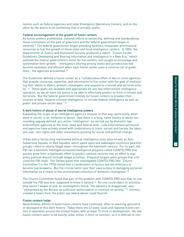tutions such as federal agencies and state Emergency Operations Centers, and on the other by the desire to do something that is actually useful.

### Federal encouragement of the growth of fusion centers

As fusion centers proliferated, national efforts at bolstering, defining and standardizing these institutions on the part of governors and the federal government began to intensify.9 The federal government began providing facilities, manpower and financial resources to fuel the growth of these state and local intelligence centers. In 2006, the departments of Justice and Homeland Security produced a report, "Fusion Center Guidelines: Developing and Sharing Information and Intelligence in a New Era," which outlined the federal government's vision for the centers, and sought to encourage and systematize their growth. "Intelligence sharing among states and jurisdictions will become seamless and efficient when each fusion center uses a common set of guidelines," the agencies proclaimed.10

The Guidelines defined a fusion center as a "collaborative effort of two or more agencies that provide resources, expertise, and information to the center with the goal of maximizing their ability to detect, prevent, investigate, and respond to criminal and terrorist activity."11 These goals are laudable and appropriate for any law enforcement intelligence operation, as we all want the police to be able to effectively protect us from criminals and terrorists. But the federal government intends for fusion centers to broaden their sources of data "beyond criminal intelligence, to include federal intelligence as well as public and private sector data."12

### A dark history of abuse of secret intelligence powers

Expanding the scope of an intelligence agency's mission in that way, particularly when done in secret, is an invitation to abuse. And there is a long, nasty history of abuse surrounding vaguely defined, pro-active "intelligence" as carried out by domestic law enforcement agencies at the local, state and federal level. Law enforcement personnel and agencies have actively joined with corporations to track, surveil and harass the labor, anti-war, civil rights and other movements pushing for social and political change.

Urban police forces long maintained political intelligence units (also known as Anti-Subversive Squads, or Red Squads), which spied upon and sabotaged numerous peaceful groups—often in utterly illegal ways—throughout the twentieth century. For its part, the FBI ran a domestic intelligence/counterintelligence program called COINTELPRO that quickly grew from a legitimate effort to protect national security into an effort to suppress political dissent through illegal activities. Frequent targets were groups that criticized the FBI itself. The Senate panel that investigated COINTELPRO (the "Church Committee") in the 1970s found that a combination of factors led law enforcers to become law breakers. But the crucial factor was their easy access to damaging personal information as a result of the unrestrained collection of domestic intelligence.13

The Church Committee found that part of the problem with COINTELPRO was that no one outside the FBI was ever supposed to know it existed.14 No one could object to activities they weren't aware of and, as investigators found, "the absence of disapproval" was "interpreted by the Bureau as sufficient authorization to continue an activity."15 Secrecy created a haven from the public eye where abuse could flourish.

### Fusion centers today

Nevertheless, efforts to build fusion centers have continued, often in seeming ignorance or disregard of this dark history. Today there are 43 state, local and regional fusion centers in operation around the United States, with at least 15 more in development. No two fusion centers seem to be exactly alike, either in form or function, so it is difficult to con $\overline{\phantom{0}}$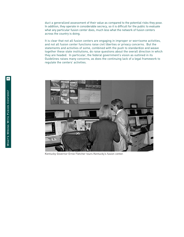duct a generalized assessment of their value as compared to the potential risks they pose. In addition, they operate in considerable secrecy, so it is difficult for the public to evaluate what any particular fusion center does, much less what the network of fusion centers across the country is doing.

It is clear that not all fusion centers are engaging in improper or worrisome activities, and not all fusion center functions raise civil liberties or privacy concerns. But the statements and activities of some, combined with the push to standardize and weave together these state institutions, do raise questions about the overall direction in which they are headed. In particular, the federal government's vision as outlined in its Guidelines raises many concerns, as does the continuing lack of a legal framework to regulate the centers' activities.



Kentucky Governor Ernie Fletcher tours Kentucky's fusion center.

ത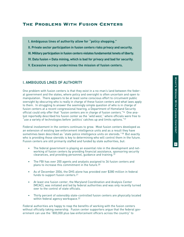# **The Problems With Fusion Centers**

- **I. Ambiguous lines of authority allow for "policy shopping."**
- **II. Private sector participation in fusion centers risks privacy and security.**
- **III. Military participation in fusion centers violates fundamental tenets of liberty.**
- **IV. Data fusion = Data mining, which is bad for privacy and bad for security.**
- **V. Excessive secrecy undermines the mission of fusion centers.**

# I. AMBIGUOUS LINES OF AUTHORITY

One problem with fusion centers is that they exist in a no-man's land between the federal government and the states, where policy and oversight is often uncertain and open to manipulation. There appears to be at least some conscious effort to circumvent public oversight by obscuring who is really in charge of these fusion centers and what laws apply to them. In struggling to answer the seemingly simple question of who is in charge of fusion centers at a recent congressional hearing, a Department of Homeland Security official could only offer that "fusion centers are in charge of fusion centers."16 One analyst reportedly described his fusion center as the "wild west," where officials were free to "use a variety of technologies before 'politics' catches up and limits options."17

Federal involvement in the centers continues to grow. Most fusion centers developed as an extension of existing law enforcement intelligence units and as a result they have sometimes been described as "state police intelligence units on steroids."<sup>18</sup> But exactly who is providing those steroids is key to determining who will control them in the future. Fusion centers are still primarily staffed and funded by state authorities, but:

- The federal government is playing an essential role in the development and networking of fusion centers by providing financial assistance, sponsoring security clearances, and providing personnel, guidance and training.19
- The FBI has over 200 agents and analysts assigned to 36 fusion centers and plans to increase this commitment in the future.20
- As of December 2006, the DHS alone has provided over \$380 million in federal funds to support fusion centers.21
- At least one fusion center, the Maryland Coordination and Analysis Center (MCAC), was initiated and led by federal authorities and was only recently turned over to the control of state officials.
- Thirty percent of ostensibly state-controlled fusion centers are physically located within federal agency workspace.<sup>22</sup>

Federal authorities are happy to reap the benefits of working with the fusion centers without officially taking ownership. Fusion center supporters argue that the federal government can use the "800,000 plus law enforcement officers across the country" to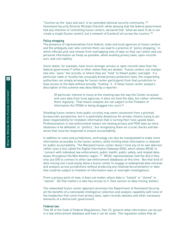"function as the 'eyes and ears' of an extended national security community."23 Homeland Security Director Michael Chertoff, while denying that the federal government had any intention of controlling fusion centers, declared that "what we want to do is not create a single [fusion center], but a network of [centers] all across the country."24

### Policy shopping

The presence of representatives from federal, state and local agencies at fusion centers and the ambiguity over who controls them can lead to a practice of "policy shopping," in which officials pick and choose from overlapping sets of laws so they can collect and use personal information as freely as possible, while avoiding privacy laws, open-records acts, and civil liability.

Some states, for example, have much stronger privacy or open-records laws than the federal government,<sup>25</sup> while in other states they are weaker. Fusion centers can manipulate who "owns" the records, or where they are "held" to thwart public oversight. If a particular state or locality has unusually broad privacy protection laws, the cooperating authorities can simply arrange for fusion center participants from that jurisdiction to have access to the data without actually "hosting" it. A Texas fusion center analyst's description of this scheme was described by a reporter:

Of particular interest to many at the meeting was the way the Center accesses and uses data from local agencies; it does not host the data, but rather refreshes them regularly. That means analysts are not subject to the Freedom of Information Act (FOIA) or being dragged into court.26

Shielding fusion centers from public scrutiny may seem convenient from a pinched, bureaucratic perspective, but it is potentially disastrous for private citizens trying to pin down responsibility for mistaken information that is turning their lives upside down. Professionalism in law enforcement means not viewing privacy and FOIA laws as mere obstacles to be defeated, or "politics," but recognizing them as crucial checks and balances that must be respected to ensure accountability.

In addition to rules and jurisdictions, technology can also be manipulated to make more information accessible to the fusion centers, while limiting what information is retained for public accountability. The Maryland fusion center doesn't host any of its own data but rather uses a tool called the Digital Information Gateway (DIG), which allows MCAC to "connect with individual law enforcement, public health, public safety, and related databases throughout the Mid-Atlantic region."27 MCAC representatives told the ACLU they only use DIG to connect to other law enforcement databases at this time. But that kind of data-mining tool could easily allow a fusion center to engage in widespread data retrieval and analysis across jurisdictions without producing any retained documentation or data that could be subject to freedom of information laws or oversight investigations.

From a privacy point of view, it does not matter where data is "hosted" or "stored" or "owned." All that matters is who has access to it. (See section on data mining, below.)

The networked fusion center approach promises the Department of Homeland Security all the benefits of a nationwide intelligence collection and analysis capability with none of the headaches that come from privacy laws, open-records statutes and other necessary elements of a democratic government.

### Federal law

Title 28 of the Code of Federal Regulations, Part 23, governs what information can be put in a law enforcement database and how it can be used. The regulation states that all

 $\overline{0}$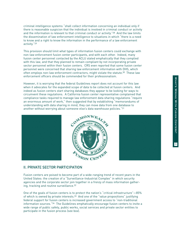criminal intelligence systems "shall collect information concerning an individual only if there is reasonable suspicion that the individual is involved in criminal conduct or activity and the information is relevant to that criminal conduct or activity."28 And the law limits the dissemination of law enforcement intelligence to situations in which "there is a need to know and a right to know the information in the performance of a law enforcement activity."29

This provision should limit what types of information fusion centers could exchange with non-law enforcement fusion center participants, and with each other. Indeed, many fusion center personnel contacted by the ACLU stated emphatically that they complied with this law, and that they planned to remain compliant by not incorporating private sector personnel within their fusion centers. CRS even reported that some fusion center personnel were concerned that sharing law enforcement information with DHS, which often employs non-law enforcement contractors, might violate the statute.30 These law enforcement officers should be commended for their professionalism.

However, it is worrying that the federal Guidelines report does not account for this law when it advocates for the expanded scope of data to be collected at fusion centers. And indeed as fusion centers start sharing databases they appear to be looking for ways to circumvent these regulations. A California fusion center representative complained that compliance tasks required to manage law enforcement data sharing regulations "require an enormous amount of work," then suggested that by establishing "memorandums of understanding with data sharing in mind, they can move data from one database to another without worrying about someone else's data warehouse policies."31



## II. PRIVATE SECTOR PARTICIPATION

Fusion centers are poised to become part of a wide-ranging trend of recent years in the United States: the creation of a "Surveillance-Industrial Complex" in which security agencies and the corporate sector join together in a frenzy of mass information gathering, tracking and routine surveillance.32

One of the goals of fusion centers is to protect the nation's "critical infrastructure"—85% of which is owned by private interests.33 And one of the "value propositions" justifying federal support for fusion centers is increased government access to "non-traditional information sources."34 The Guidelines emphatically encourage fusion centers to invite a wide range of public safety, public works, social services and private sector entities to participate in the fusion process (see box).

 $\Rightarrow$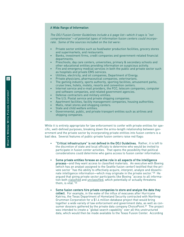### A Wide Range of Information

The DOJ Fusion Center Guidelines include a 6-page list—which it says is "not comprehensive"—of potential types of information fusion centers could incorporate. Some of the sources included on the list were:

- Private sector entities such as food/water production facilities, grocery stores and supermarkets, and restaurants.
- Banks, investment firms, credit companies and government-related financial departments.
- Preschools, day care centers, universities, primary & secondary schools and other educational entities providing information on suspicious activity.
- Fire and emergency medical services in both the public and private sector such as hospitals and private EMS services.
- Utilities, electricity, and oil companies, Department of Energy.
- Private physicians, pharmaceutical companies, veterinarians.
- The gaming industry, sports authority, sporting facilities, amusement parks, cruise lines, hotels, motels, resorts and convention centers.
- Internet service and e-mail providers, the FCC, telecom companies, computer and software companies, and related government agencies.
- Defense contractors and military entities.
- 
- The U.S. Postal service and private shipping companies.<br>Apartment facilities, facility management companies, housing authorities.
- Malls, retail stores and shopping centers.
- State and child welfare entities.
- Governmental, public, and private transport entities such as airlines and shipping companies.

While it is entirely appropriate for law enforcement to confer with private entities for specific, well-defined purposes, breaking down the arms-length relationship between government and the private sector by incorporating private entities into fusion centers is a bad idea. Several features of public-private fusion centers raise red flags:

- "Critical infrastructure" is not defined in the DOJ Guidelines. Rather, it is left to the discretion of state and local officials to determine who would be invited to participate in fusion center activities. That opens the possibility that political considerations could determine who gains access to fusion center information.
- Some private entities foresee an active role in all aspects of the intelligence process—and they want access to classified materials. An executive with Boeing (which has an analyst assigned to the Seattle fusion center) testified that the private sector "has the ability to effectively acquire, interpret, analyze and disseminate intelligence information—which may originate in the private sector."35 He argued that giving private sector participants like Boeing "access to all information both classified and unclassified, which potentially or actually threatens them, is vital."36
- Some fusion centers hire private companies to store and analyze the data they collect. For example, in the wake of the influx of evacuees after Hurricane Katrina, the Texas Department of Homeland Security contracted with Northrop Grumman Corporation for a \$1.4 million database project that would bring together a wide variety of law enforcement and government data, as well as consumer dossiers gathered by the private data company ChoicePoint.<sup>37</sup> The project was intended to create a "global search capability" over all this unstructured data, which would then be made available to the T exas Fusion Center. According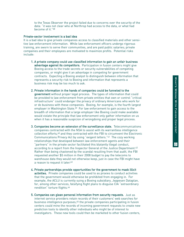### Private-sector involvement is a bad idea

It is a bad idea to give private companies access to classified materials and other sensitive law enforcement information. While law enforcement officers undergo rigorous training, are sworn to serve their communities, and are paid public salaries; private companies and their employees are motivated to maximize profits. Potential risks include:

- 1. A private company could use classified information to gain an unfair business advantage against its competitors. Participation in fusion centers might give Boeing access to the trade secrets or security vulnerabilities of competing companies, or might give it an advantage in competing for government contracts. Expecting a Boeing analyst to distinguish between information that represents a security risk to Boeing and information that represents a business risk may be too much to ask.
- 2. Private information in the hands of companies could be funneled to the government without proper legal process. The types of information that could be provided to law enforcement from private entities that own or control "critical infrastructure" could endanger the privacy of ordinary Americans who work for or do business with these companies. Boeing, for example, is the fourth largest employer in Washington State.<sup>39</sup> For law enforcement to gain access to the breadth of information that a large employer like Boeing could make available would violate the principle that law enforcement only gather information on us when it has a reasonable suspicion of wrongdoing and proper legal process.
- 3. Companies become an extension of the surveillance state. Telecommunications companies contracted with the NSA to assist with its warrantless intelligence collection efforts,40 and they contracted with the FBI to circumvent the Electronic Communications Privacy Act by using "exigent letters."41 The cozy working relationships that developed between law enforcement agents and their "partners" in the private sector facilitated this blatantly illegal conduct, according to a report from the Inspector General of the Justice Department.<sup>42</sup> Rather than being chastened by the scandal resulting from that audit, the FBI requested another \$5 million in their 2008 budget to pay the telecoms to warehouse data they would not otherwise keep, just in case the FBI might have a reason to request it later.<sup>43</sup>
- 4. Private partnerships provide opportunities for the government to mask illicit activities. Private companies could be used to as proxies to conduct activities that the government would otherwise be prohibited from engaging in. For example, the ACLU is currently suing a Boeing subsidiary, Jeppesen Dataplan, for, among other services, falsifying flight plans to disguise CIA "extraordinary rendition" torture flights.44
- 5. Companies can glean personal information from security requests. Just as internet service providers retain records of their customers' web searches for business intelligence purposes,45 the private companies participating in fusion centers could mine the records of incoming government requests to create new prediction tools to identify other individuals who might be of interest to investigators. These new tools could then be marketed to other fusion centers,

ದ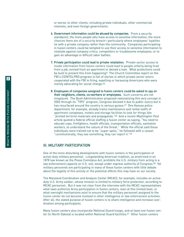or worse, to other clients, including private individuals, other commercial interests, and even foreign governments.

- 6. Government information could be abused by companies. From a security standpoint, the more people who have access to sensitive information, the more chances there are of a security breach—particularly where employees' loyalties lie with a private company rather than the community. Companies participating in fusion centers could be tempted to use their access to sensitive information to retaliate against company critics, competitors or troublesome employees, or to gain an advantage in difficult labor battles.
- 7. Private participation could lead to private retaliation. Private-sector access to inside information from fusion centers could lead to people unfairly being fired from a job, evicted from an apartment or denied a loan. What protections could be built to prevent this from happening? The Church Committee report on the FBI's COINTELPRO program is full of stories in which private sector actors cooperated with the FBI in firing, expelling or harassing Americans who were merely advocating for social change.46
- 8. Employees of companies assigned to fusion centers could be asked to spy on their neighbors, clients, co-workers or employees. Such concerns are not misplaced. The Bush Administration proposed nationalizing this very concept in 2002 through its "TIPS" program; Congress blocked it due to public outcry but it has resurfaced around the country in various quises.<sup>47</sup> One Kansas police department, for example, already trains maintenance and rental staffs of apartment complexes, motels and storage facilities to look for things like "printed terrorist materials and propaganda."<sup>48</sup> And a recent Washington Post article quoted a federal official staffing a fusion center as saying, "You need to educate cops, firefighters, health officials, transportation officials, sanitation workers, to understand the nature of the threat." While the official said these individuals were trained not to be "super-spies," he followed with a caveat: "constitutionally, they see something, they can report it."49

# III. MILITARY PARTICIPATION

One of the more disturbing developments with fusion centers is the participation of active-duty military personnel. Longstanding American tradition, as enshrined in an 1878 law known as the Posse Comitatus Act, prohibits the U.S. military from acting in a law enforcement capacity on U.S. soil, except under express authority of Congress.<sup>50</sup> Yet military personnel are participating in many of these fusion centers with little debate about the legality of this activity or the potential effects this may have on our society.

The Maryland Coordination and Analysis Center (MCAC), for example, includes an activeduty U.S. Army soldier, whose mission is limited to military force protection, according to MCAC personnel. But it was not clear from the interview with the MCAC representatives what laws authorize Army participation in fusion centers, even at this limited level, or what oversight mechanisms exist to ensure that the military personnel assigned to the fusion center do not become involved in other intelligence or law enforcement activities. After all, the stated purpose of fusion centers is to share intelligence and increase coordination among participants.

Many fusion centers also incorporate National Guard troops, and at least one fusion center (in North Dakota) is located within National Guard facilities.51 Other fusion centers

 $\overline{4}$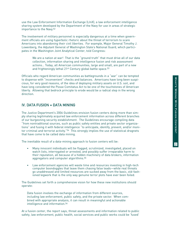use the Law Enforcement Information Exchange (LInX), a law enforcement intelligence sharing system developed by the Department of the Navy for use in areas of strategic importance to the Navy.52

The involvement of military personnel is especially dangerous at a time when government officials are using hyperbolic rhetoric about the threat of terrorism to scare Americans into abandoning their civil liberties. For example, Major General Timothy J. Lowenberg, the Adjutant General of Washington State's National Guard, which participates in the Washington Joint Analytical Center, told Congress:

We are a nation at war! That is the "ground truth" that must drive all of our data collection, information sharing and intelligence fusion and risk assessment actions… Today, all American communities, large and small, are part of a new and frighteningly lethal 21<sup>st</sup> Century global battle space.<sup>53</sup>

Officials who regard American communities as battlegrounds in a "war" can be tempted to dispense with "inconvenient" checks and balances. Americans have long been suspicious, for very good reasons, of the idea of deploying military assets on U.S. soil, and have long considered the Posse Comitatus Act to be one of the touchstones of American liberty. Allowing that bedrock principle to erode would be a radical step in the wrong direction.

# IV. DATA FUSION = DATA MINING

The Justice Department's 2006 Guidelines envision fusion centers doing more than simply sharing legitimately acquired law enforcement information across different branches of our burgeoning security establishment. The Guidelines encourage compiling data "from nontraditional sources, such as public safety entities and private sector organizations" and fusing it with federal intelligence "to anticipate, identify, prevent, and/or monitor criminal and terrorist activity."<sup>54</sup> This strongly implies the use of statistical dragnets that have come to be called data mining.

The inevitable result of a data-mining approach to fusion centers will be:

- Many innocent individuals will be flagged, scrutinized, investigated, placed on watch lists, interrogated or arrested, and possibly suffer irreparable harm to their reputation, all because of a hidden machinery of data brokers, information aggregators and computer algorithms.55
- Law enforcement agencies will waste time and resources investing in high-tech computer boondoggles that leave them chasing false leads—while real threats go unaddressed and limited resources are sucked away from the basic, old-fashioned legwork that is the only way genuine terror plots have ever been foiled.

The Guidelines set forth a comprehensive vision for how these new institutions should operate:

Data fusion involves the exchange of information from different sources, including law enforcement, public safety, and the private sector. When combined with appropriate analysis, it can result in meaningful and actionable intelligence and information.56

At a fusion center, the report says, threat assessments and information related to public safety, law enforcement, public health, social services and public works could be 'fused'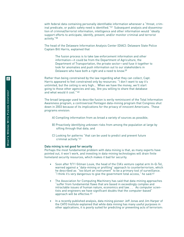with federal data containing personally identifiable information whenever a "threat, crim inal predicate, or public safety need is identified."57 Subsequent analysis and dissemination of criminal/terrorist information, intelligence and other information would "ideally support efforts to anticipate, identify, prevent, and/or monitor criminal and terrorist activity." 5 8

The head of the Delaware Information Analysis Center (DIAC): Delaware State Police Captain Bill Harris, explained that

The fusion process is to take law enforcement information and other information—it could be from the Department of Agriculture, the Department of Transportation, the private sector—and fuse it together to look for anomalies and push information out to our stakeholders in Delaware who have both a right and a need to know.59

Rather than being constrained by the law regarding what they can collect, Capt. Harris appeared to feel constrained only by resources: "I don't want to say it's unlimited, but the ceiling is very high… When we have the money, we'll start going to those other agencies and say, 'Are you willing to share that database and what would it cost."<sup>60</sup>

The broad language used to describe fusion is eerily reminiscent of the Total Information Awareness program, a controversial Pentagon data-mining program that Congress shut down in 2003 because of its implications for the privacy of innocent Americans. These programs envision:

- A) Compiling information from as broad a variety of sources as possible;
- B) Proactively identifying unknown risks from among the population at large by sifting through that data; and
- C) Looking for patterns "that can be used to predict and prevent future criminal activity."61

### Data mining is not good for security

Perhaps the most fundamental problem with data mining is that, as many experts have pointed out, it won't work, and investing in data-mining technologies will drain finite homeland security resour ces, which makes it bad for security.

- Soon after 9/11 Gilman Louie, the head of the CIA's venture capital arm In-Q-Tel, warned against a "data-mining or profiling" approach to counterterrorism, which he described as "too blunt an instrument" to be a primary tool of surveillance. "I think it's very dangerous to give the government total access," he said.<sup>62</sup>
- The Association for Computing Machinery has said that data-mining approaches "suffer from fundamental flaws that are based in exceedingly complex and intractable issues of human nature, economics and law. . . As computer scientists and engineers we have significant doubts that the computer-based" approach will be effective.<sup>63</sup>
- In a recently published analysis, data mining pioneer Jeff Jonas and Jim Harper of the CATO Institute explained that while data mining has many useful purposes in other applications, it is poorly suited for predicting or preventing acts of terrorism:

 $\overline{6}$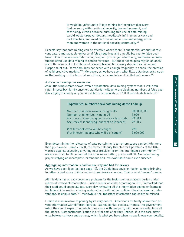It would be unfortunate if data mining for terrorism discovery had currency within national security, law enforcement, and technology circles because pursuing this use of data mining would waste taxpayer dollars, needlessly infringe on privacy and civil liberties, and misdirect the valuable time and energy of the men and women in the national security community.64

Experts say that data mining can be effective where there is substantial amount of relevant data, a manageable universe of false negatives and a negligible cost to false positives. Direct mailers use data mining frequently to target advertising, and financial institutions often use data mining to screen for fraud. But these techniques rely on an analysis of thousands, if not millions of relevant transactions every day, and as Jonas and Harper point out, "terrorism does not occur with enough frequency to enable the creation of valid predictive models."65 Moreover, as we have seen, what little data does exist, such as that making up the terrorist watchlists, is incomplete and riddled with errors.<sup>66</sup>

### A drain on investigative resources

As a little simple math shows, even a hypothetical data-mining system that is 99% accurate—impossibly high by anyone's standards—will generate disabling numbers of false positives trying to identify a hypothetical terrorist population of 1,000 individuals (see box).<sup>67</sup>

| Hypothetical numbers show data mining doesn't add up |             |
|------------------------------------------------------|-------------|
| Number of non-terrorists living in US                | 300,000,000 |
| Number of terrorists living in US                    | 1.000       |
| Accuracy in identifying terrorists as terrorists     | 99.00%      |
| Accuracy at identifying innocent as innocent         | 99.00%      |
| # of terrorists who will be caught                   | 990         |
| # of innocent people who will be "caught"            | 3,000,000   |

Even determining the relevance of data pertaining to terrorism cases can be little more than guesswork. James Pavitt, the former Deputy Director for Operations of the CIA, warned against expecting anything near precision from the intelligence community: "If we are right 40 to 50 percent of the time we're batting pretty well."<sup>68</sup> No data-mining project relying on incomplete, erroneous and irrelevant data could ever succeed.

### Aggregating information is bad for security and bad for privacy

As we have seen (see text box page 14), the Guidelines envision fusion centers bringing together a vast array of information from diverse sources. That is what "fusion" means.

All this data has already become a problem for the fusion center analysts buried under reams of irrelevant information. Fusion center officials, according to CRS, "remarked that their staff could spend all day, every day reviewing all the information posted on [competing federal information sharing systems] and still not be confident they had seen all relevant and/or unique data."<sup>69</sup> Meanwhile, the important information can easily be missed.

Fusion is also invasive of privacy by its very nature. Americans routinely share their private information with different parties—stores, banks, doctors, friends, the government —but they don't expect the details they share with one party will become available to all the others. Compartmentalization is a vital part of privacy (indeed, it is the core difference between privacy and secrecy, which is what you have when no one knows your details). 17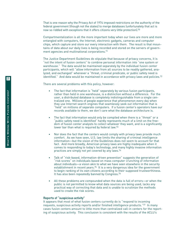That is one reason why the Privacy Act of 1974 imposed restrictions on the authority of the federal government (though not the states) to merge databases (unfortunately that act is now so riddled with exceptions that it offers citizens very little protection).70

Compartmentalization is all the more important today when our lives are more and more entangled with computers, the Internet, electronic gadgets, cameras and computer chips, which capture and store our every interaction with them. The result is that mountains of data about our daily lives is being recorded and stored on the servers of government agencies and multinational corporations.71

The Justice Department Guidelines do stipulate that because of privacy concerns, it is "not the intent of fusion centers" to combine personal information into "one system or warehouse." The data would be maintained separately by the individual fusion center participants, which will "allow information from all sources to be readily gathered, analyzed, and exchanged" whenever a "threat, criminal predicate, or public safety need is identified." And data would be maintained in accordance with privacy laws and policies.<sup>72</sup>

There are several problems with this policy, however:

- The fact that information is "held" separately by various fusion participants, rather than held in one warehouse, is a distinction without a difference. For the user, a distributed database is completely indistinguishable from a single centralized one. Millions of people experience that phenomenon every day when they use Internet search engines that seamlessly seek out information that is "held" on millions of separate computers. If a fusion center's operators have our records available to them, we don't care what the database architecture is.
- The fact that information would only be compiled when there is a "threat" or a "public safety need is identified" hardly represents much of a limit on the freedom of fusion center analysts to collect whatever they want, and is a significantly lower bar than what is required by federal law.73
- Nor does the fact that the centers would comply with privacy laws provide much comfort. As we have seen, U.S. law limits the sharing of criminal intelligence information—but the vision of the Guidelines does not seem to account for that fact. And more broadly, American privacy laws are highly inadequate when it comes to responding to today's technology, and many highly invasive information practices are simply not yet covered by any laws.74
- Talk of "risk-based, information-driven prevention" suggests the generation of "risk scores" on individuals based on mass computer crunching of information about individuals—a vision akin to what we have seen elsewhere in the security establishment in recent years.<sup>75</sup> It is a very dangerous idea for the government to begin ranking of its own citizens according to their supposed trustworthiness. It has also been repeatedly banned by Congress.76
- All these problems are compounded when the data is full of errors—or when the public is not permitted to know what data sources are being used, lacks any practical way of correcting that data and is unable to scrutinize the methods used to create the risk scores.

### Reports of "suspicious activity"

It appears that most of what fusion centers currently do is "respond to incoming requests, suspicious activity reports and/or finished intelligence products."77 In many cases fusion centers amount to little more than centralized call-in centers for the reporting of suspicious activity. This conclusion is consistent with the results of the ACLU's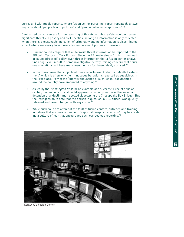survey and with media reports, where fusion center personnel report repeatedly answering calls about "people taking pictures" and "people behaving suspiciously."78

Centralized call-in centers for the reporting of threats to public safety would not pose significant threats to privacy and civil liberties, so long as information is only collected when there is a reasonable indication of criminality and no information is disseminated except where necessary to achieve a law enforcement purpose. However:

- Current policies require that all terrorist threat information be reported to the FBI Joint Terrorism Task Forces. Since the FBI maintains a "no terrorism lead goes unaddressed" policy, even threat information that a fusion center analyst finds bogus will result in some investigative activity, raising concern that spurious allegations will have real consequences for those falsely accused.79
- In too many cases the subjects of these reports are "Arabs" or "Middle Eastern men," which is often why their innocuous behavior is reported as suspicious in the first place. Few of the "literally thousands of such leads" documented around the country have amounted to anything.<sup>80</sup>
- Asked by the Washington Post for an example of a successful use of a fusion center, the best one official could apparently come up with was the arrest and detention of a Muslim man spotted videotaping the Chesapeake Bay Bridge. But the Post goes on to note that the person in question, a U.S. citizen, was quickly released and never charged with any crime.<sup>81</sup>
- While such calls are often not the fault of fusion centers, outreach and training initiatives that encourage people to "report all suspicious activity" may be creating a culture of fear that encourages such overzealous reporting.82



Kentucky's Fusion Center.

 $\vec{\circ}$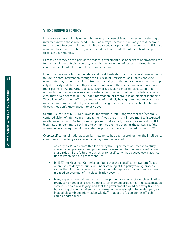# V. EXCESSIVE SECRECY

Excessive secrecy not only undercuts the very purpose of fusion centers—the sharing of information with those who need it—but, as always, increases the danger that incompetence and malfeasance will flourish. It also raises sharp questions about how individuals who find they have been hurt by a center's data fusion and "threat identification" practices can seek redress.

Excessive secrecy on the part of the federal government also appears to be thwarting the fundamental aim of fusion centers, which is the prevention of terrorism through the coordination of state, local and federal information.

Fusion centers were born out of state and local frustration with the federal government's failure to share information through the FBI's Joint Terrorism Task Forces and elsewhere. Yet they are once again confronting the failure of the federal government to properly declassify and share intelligence information with their state and local law enforcement partners. As the CRS reported, "Numerous fusion center officials claim that although their center receives a substantial amount of information from federal agencies, they never seem to get the 'right information' or receive it in an efficient manner."83 These law enforcement officers complained of routinely having to request relevant threat information from the federal government—raising justifiable concerns about potential threats they don't know enough to ask about.

Seattle Police Chief R. Gil Kerlikowske, for example, told Congress that the "federally centered vision of intelligence management" was the primary impediment to integrated intelligence fusion.84 Kerlikowske complained that security clearances were difficult for local law enforcement to get in a timely manner, and that even for those cleared, "the sharing of vast categories of information is prohibited unless brokered by the FBI."85

Overclassification of national security intelligence has been a problem for the intelligence community for as long as a classification system has existed:

- As early as 1956 a committee formed by the Department of Defense to study classification processes and procedures determined that "vague classification standards and the failure to punish overclassification had caused overclassification to reach 'serious proportions.'"86
- In 1997 the Moynihan Commission found that the classification system "is too often used to deny the public an understanding of the policymaking process rather than for the necessary protection of intelligence activities," and recommended an overhaul of the classification system.
- Many experts have pointed to the counterproductive effects of overclassification. RAND terrorism expert Brian Jenkins, for example, argues that the classification system is a cold war legacy, and that the government should get away from the hub-and-spoke model of sending information to Washington to be stamped, and instead disseminate information widely. <sup>87</sup> It appears fusion center officials couldn't agree more.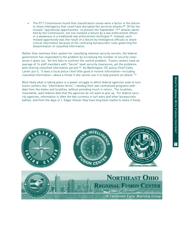The 9/11 Commission found that classification issues were a factor in the failure to share intelligence that could have disrupted the terrorist attacks.<sup>88</sup> Of the ten missed "operational opportunities" to prevent the September 11th attacks identified by the Commission, not one involved a failure by a law enforcement officer or a weakness in a traditional law enforcement technique.<sup>89</sup> Instead, each missed opportunity was the result of a failure by intelligence officials to share critical information because of the confusing bureaucratic rules governing the dissemination of classified information.

Rather than overhaul their system for classifying national security secrets, the federal government has responded to the problem by increasing the number of security clearances it gives out. Yet this fails to confront the central problem. Fusion centers have an average of 14 staff members with "Secret" level security clearances, yet the problems with sharing classified information persist.<sup>90</sup> As Washington, DC police Chief Cathy Lanier put it, "it does a local police chief little good to receive information—including classified information—about a threat if she cannot use it to help prevent an attack."91

Most likely what is taking place is a power struggle in which federal agencies seek to turn fusion centers into "information farms"—feeding their own centralized programs with data from the states and localities, without providing much in return. The localities, meanwhile, want federal data that the agencies do not want to give up. For federal security agencies, information is often the key currency in turf wars and other bureaucratic battles, and from the days of J. Edgar Hoover they have long been loathe to share it freely.



21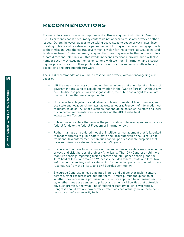# **RECOMMENDATIONS**

Fusion centers are a diverse, amorphous and still-evolving new institution in American life. As presently constituted, many centers do not appear to raise any privacy or other issues. Others, however, appear to be taking active steps to dodge privacy rules, incorporating military and private-sector personnel, and flirting with a data-mining approach to their mission. And the federal government's vision for the centers, as well as natural tendencies toward "mission creep," suggest that they may evolve further in these unfortunate directions. Not only will this invade innocent Americans' privacy, but it will also hamper security by clogging the fusion centers with too much information and distracting our police forces from their public safety mission with false leads, fruitless fishing expeditions and bureaucratic turf wars.

The ACLU recommendations will help preserve our privacy, without endangering our security.

- Lift the cloak of secrecy surrounding the techniques that agencies at all levels of government are using to exploit information in the "War on Terror". Without any need to disclose particular investigative data, the public has a right to evaluate the techniques that may be applied to it.
- Urge reporters, legislators and citizens to learn more about fusion centers, and use state and local sunshine laws, as well as federal Freedom of Information Act requests, to do so. A list of questions that should be asked of the state and local fusion center representatives is available on the ACLU website at www.aclu.org/fusion.
- Subject fusion centers that involve the participation of federal agencies or receive federal funds to the federal Freedom of Information Act.
- Rather than use an outdated model of intelligence management that is ill-suited to modern threats to public safety, state and local authorities should return to traditional law enforcement techniques based upon reasonable suspicion that have kept America safe and free for over 230 years.
- Encourage Congress to focus more on the impact fusion centers may have on the privacy and civil liberties of ordinary Americans. The 109th Congress held more than five hearings regarding fusion centers and intelligence sharing, and the 110th held at least four more.<sup>92</sup> Witnesses included federal, state and local law enforcement agencies, and private sector fusion center participants—but no representatives from the privacy and civil liberties community.
- Encourage Congress to lead a pointed inquiry and debate over fusion centers before further resources are put into them. It must pursue the question of whether they represent a promising and effective approach to increasing security, whether they pose dangers to privacy and other civil liberties that outweigh any such promise, and what kind of federal regulatory action is warranted. Congress should explore how privacy protections can actually make these centers more useful as security tools.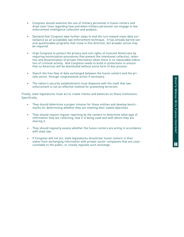- Congress should examine the use of military personnel in fusion centers and draw clear lines regarding how and when military personnel can engage in law enforcement intelligence collection and analysis.
- Demand that Congress take further steps to end the turn toward mass data surveillance as an acceptable law enforcement technique. It has already barred several questionable programs that move in this direction, but broader action may be required.
- Urge Congress to protect the privacy and civil rights of innocent Americans by requiring minimization procedures that prevent the intentional collection, retention and dissemination of private information when there is no reasonable indication of criminal activity. And Congress needs to build in protections to ensure that no American will be blacklisted without some form of due process.
- Stanch the free flow of data exchanged between the fusion centers and the private sector, through congressional action if necessary.
- The nation's security establishment must dispense with the myth that law enforcement is not an effective method for preventing terrorism.

Finally, state legislatures must act to create checks and balances on these institutions. Specifically,

- They should determine a proper mission for these entities and develop benchmarks for determining whether they are meeting their stated objectives.
- They should require regular reporting by the centers to determine what type of information they are collecting, how it is being used and with whom they are sharing it.
- They should regularly assess whether the fusion centers are acting in accordance with state law.
- If Congress will not act, state legislatures should bar fusion centers in their states from exchanging information with private-sector companies that are unaccountable to the public, or closely regulate such exchange.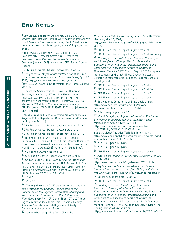# **End Notes**

1 Jay Stanley and Barry Steinhardt, EVEN BIGGER, EVEN WEAKER: THE EMERGING SURVEILLANCE SOCIETY: WHERE ARE WE NOW? AMERICAN CIVIL LIBERTIES UNION, (Sept. 2007), available at http://www.aclu.org/pdfs/privacy/bigger\_weaker.pdf.

2 TODD MASSE, SIOBHAN O'NEIL AND JOHN ROLLINS, CONGRESSIONAL RESEARCH SERVICE, CRS REPORT FOR CONGRESS: FUSION CENTERS: ISSUES AND OPTIONS FOR CONGRESS (July 6, 2007) [hereinafter CRS Fusion Center Report].

3 CRS Fusion Center Report, supra note 2, at 18.

4 See generally, Mayor wants Portland out of anti-terrorism task force, KGW.COM AND ASSOCIATED PRESS, April 22, 2005, http://www.kgw.com/news-local/stories /kgw\_042205\_news\_joint\_terrorism\_task\_force\_.201f43 4fe.html.

5 DEMOCRATIC STAFF OF THE H.R. COMM. ON HOMELAND SECURITY, 110<sup>th</sup> Cong., LEAP: A LAW ENFORCEMENT ASSISTANCE AND PARTNERSHIP STRATEGY, PREPARED AT THE REQUEST OF CONGRESSMAN BENNIE G. THOMPSON, RANKING MEMBER 5 (2006), http://hsc-democrats.house.gov /SiteDocuments/20060927193035-23713.pdf [Hereinafter LEAP Report].

 $6$  *Id.* at 5 (quoting Michael Downing, Commander, Los Angeles Police Department Counterterrorism/Criminal Intelligence Bureau).

7 CRS Fusion Center Report, supra note 2, at 22 n.60.

8 CRS Fusion Center Report, supra, note 2, at 21.

<sup>9</sup> CRS Fusion Center Report, supra note 2, at 18-19.

10 BUREAU OF JUSTICE ASSISTANCE, OFFICE OF JUSTICE PROGRAMS, U.S. DEP'T. OF JUSTICE, FUSION CENTER GUIDELINES: DEVELOPING AND SHARING INFORMATION AND INTELLIGENCE IN A NEW ERA, at iii, (Aug. 2006) [hereinafter Guidelines].

11 Guidelines, supra note 10, at 2.

12 CRS Fusion Center Report, *supra* note 2, at 1.

13 SELECT COMM. TO STUDY GOVERNMENTAL OPERATIONS WITH RESPECT TO INTELLIGENCE ACTIVITIES, U.S. SENATE, 94th CONG., FINAL REPORT ON SUPPLEMENTAL DETAILED STAFF REPORTS ON INTELLIGENCE ACTIVITIES AND THE RIGHTS OF AMERICANS (BOOK III), S. Rep. No. 94-755, at 10 (1976).

 $14$  *Id.* at 11.

 $15$  *Id.* at 12.

16 The Way Forward with Fusion Centers: Challenges and Strategies for Change: Hearing Before the Subcomm. on Intelligence, Information Sharing and Terrorism Risk Assessment of the H. Comm. on Homeland Security, 110<sup>th</sup> Cong. (Sept. 27, 2007) (quoting testimony of Jack Tomarchio, Principle Deputy Assistant Secretary for Intelligence and Analysis, Department of Homeland Security).

17 Adena Schutzberg, MetaCarta Users Tap

Unstructured Data for New Geographic Uses, DIRECTIONS MAGAZINE, May 30, 2007,

http://www.directionsmag.com/article.php?article\_id=24 78&trv=1.

18 CRS Fusion Center Report, *supra* note 2, at 1.

19 CRS Fusion Center Report, *supra* note 2, at summary.

20 The Way Forward with Fusion Centers: Challenges and Strategies for Change: Hearing Before the Subcomm. on Intelligence, Information Sharing and Terrorism Risk Assessment of the H. Comm. on Homeland Security, 110<sup>th</sup> Cong. (Sept. 27, 2007) (quoting testimony of Michael Mines, Deputy Assistant Director, Directorate of Intelligence, Federal Bureau of Investigation).

21 CRS Fusion Center Report, *supra* note 2, at 41.

22 CRS Fusion Center Report, supra note 2, at 36.

23 CRS Fusion Center Report, *supra* note 2, at 7.

24 CRS Fusion Center Report, *supra* note 2, at 9.

25 See National Conference of State Legislatures, http://www.ncsl.org/programs/pubs/privacyoverview.htm (last visited Oct. 16, 2007).

26 Schutzberg, supra note 17.

27 Visual Analytics to Support Information Sharing for the Maryland Coordination and Analytical Center (MCAC), PRNEWSWIRE, Nov. 14, 2003, http://sev.prnewswire.com/computer-electronics/20051114/DCM06114112005-1.html; See also Visual Analytics Technical Information, http://www.visualanalytics.com/products/dig/details/ind

ex.cfm (last visited Oct. 16, 2007).

28 28 C.F.R., §23.20(a) (2006).

29 28 C.F.R., §23.20(e) (2006).

30 CRS Fusion Center Report, supra note 2, at 49.

31 John Moore, Policing Terror, FEDERAL COMPUTER WEEK, Nov. 13, 2006,

http://www.fcw.com/print/12\_41/news/96760-1.html.

32 Jay Stanley, THE SURVEILLANCE-INDUSTRIAL COMPLEX, AMERICAN CIVIL LIBERTIES UNION, (Aug. 2004), available at http://www.aclu.org/FilesPDFs/surveillance\_report.pdf.

33 Guidelines, *supra* note 10, at 17.

34 CRS Fusion Center Report, supra note 2, at 4.

35 Building a Partnership Strategy: Improving Information Sharing with State & Local Law Enforcement and the Private Sector: Hearing Before the Subcomm. on Intelligence, Information Sharing and Terrorism Risk Assessment of the H. Comm. on Homeland Security, 110th Cong. (May 25, 2007) (statement of Richard E. Hovel, Aviation Security Advisor, The Boeing Company), available at

http://homeland.house.gov/SiteDocuments/20070525162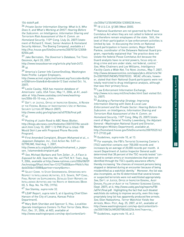### 154-66669.pdf.

36 Private Sector Information Sharing: What Is It, Who Does It, and What's Working at DHS?: Hearing Before the Subcomm. on Intelligence, Information Sharing and Terrorism Risk Assessment of the H. Comm. on Homeland Security, 110<sup>th</sup> Cong. (July 26, 2007) (statement of Richard E. Hovel, Senior Aviation & Homeland Security Advisor, The Boeing Company), available a t http://hsc.house.gov/SiteDocuments/20070726123058- 82504.pdf.

37 Jake Bernstein, The Governor's Database, THE TEXAS OBSERVER, April 20, 2007,

http://www.texasobserver.org/article.php?aid=2472.  $38<sub>1d</sub>$ 

39 America's Career Info CareerOneStop, Washington State Profile: Largest Employers,

http://www.acinet.org/acinet/oview6.asp?soccode=&stfip s=53&from=State&id=&nodeid=12 (last visited Oct. 16, 2007).

40 Leslie Cauley, NSA has massive database of Americans' calls, USA TODAY, May 11, 2006, at A1, available at http://www.usatoday.com/news/washington/2006-05-10-nsa\_x.htm.

41 DEP'T. OF JUSTICE, OFFICE OF INSPECTOR GENERAL, A REVIEW OF THE FEDERAL BUREAU OF INVESTIGATION'S USE OF NATIONAL SECURITY LETTERS 87 (March 2007),

http://www.usdoj.gov/oig/special/s0703b/final.pdf. 42  $\frac{1}{d}$ 

43 Posting of Justin Rood to ABC News Blotter. http://blogs.abcnews.com/theblotter/2007/07/fbi-wouldskirt.html (July 10, 2007 1:12 PM) (Post is titled: FBI Would Skirt Law with Proposed Phone Records Program).

44 First Amended Complaint, Binyam Mohamed et al., v. Jeppesen Dataplan, Inc., Civil Action No. 5:07-cv-02798(JW), filed Aug. 1, 2007,

http://www.aclu.org/pdfs/safefree/mohamed\_v\_jeppesen\_1stamendedcomplaint.pdf.

45 See, Michael Barbaro and Tom Zeller, Jr., A Face is Exposed for AOL Searcher No. 4417749, N.Y. TIMES, Aug. 9, 2006, available at http://www.nytimes.com/2006/08/09 /technology/09aol.html?ex=1312776000&en=996f61c946 da4d34&ei=5088&partner=rssnyt&emc=.

46 SELECT COMM. TO STUDY GOVERNMENTAL OPERATIONS WITH RESPECT TO INTELLIGENCE ACTIVITIES, U.S. SENATE, 94th CONG., FINAL REPORT ON SUPPLEMENTAL DETAILED STAFF REPORTS ON INTELLIGENCE ACTIVITIES AND THE RIGHTS OF AMERICANS (BOOK III), S. Rep. No. 94-755, (1976).

47 See Stanley, supra note 32.

48 LEAP Report, *supra* note 5, at 6 (quoting Chief Ellen Hanson of the City of Lexana, Kansas Police Department).

49 Mary Beth Sheridan and Spencer S. Hsu, Localities Operate Intelligence Centers To Pool Terror Data, WASH. Post, Dec. 31, 2006, at A03, available at

http://www.washingtonpost.com/wp-dyn/content/arti-

### cle/2006/12/30/AR2006123000238.html.

50 18 U.S.C.A. §1385 (West 2005).

51 National Guardsmen are not governed by the Posse Comitatus Act when they are not called to federal service and therefore remain employees of the state. Still, the level of their participation in law enforcement activities is limited by law. In discussing the limits on National Guard participation in fusion centers, Major Robert Pankiw, coordinator of the Delaware National Guard program, reportedly explained that "the practice does not violate the federal Posse Comitatus Act because the Guard analysts have no arrest powers, focus only on drug crime and are under state, not federal, control." See, Mike Chalmers and Lee Williams, Intelligence Facility Casts a Wide Net, THE NEWS JOURNAL, May 7, 2007, http://www.delawareonline.com/apps/pbcs.dll/article?AI D=/20070507/NEWS/705070333. MCAC officials, however, stated that their National Guard participants were not totally restricted to drug intelligence analysis, although that was their primary focus.

52 Law Enforcement Information Exchange, http://www.ncis.navy.mil/linx/index.html (last visited Oct. 16, 2007).

53 Building a Partnership Strategy: Improving Information Sharing with State & Local Law Enforcement and the Private Sector: Hearing Before the Subcomm. on Intelligence, Information Sharing and Terrorism Risk Assessment of the H. Comm. on Homeland Security, 110<sup>th</sup> Cong. (May 25, 2007) (statement of Major General Timothy Lowenberg, the Adjutant General –Washington National Guard and Director, Washington Military Department), available at, http://homeland.house.gov/SiteDocuments/20070525162 917-27103.pdf.

54 Guidelines, *supra* note 10, at 13.

55 For example, the FBI's Terrorist Screening Center's (TSC) watchlist contains over 700,000 records and increases by an average of 20,000 records per month. A recent Department of Justice Inspector General audit determined that 38 percent of the TSC records tested "continued to contain errors or inconsistencies that were not identified through the TSC's quality assurance efforts," thereby increasing "the chances of innocent persons being stopped or detained during an encounter because of being misidentified as a watchlist identity." Moreover, the list was also incomplete, as the IG determined that several known or suspected terrorists were not watchlisted appropriately. See, DEP'T. OF JUSTICE, OFFICE OF INSPECTOR GENERAL, AUDIT DIVISION, FOLLOW-UP AUDIT OF THE TERRORIST SCREENING CENTER, (Sept. 2007), at iii, http://www.usdoj.gov/oig/reports/FBI /a0741/final.pdf. Highlighting the fact that such bloated watchlists do nothing to improve security, even this inappropriately long list has apparently produced few arrests. See, Ellen Nakashima, Terror Watchlist Yields few Arrests, WASH. POST, Aug. 25, 2007, at A1, available at http://www.washingtonpost.com/wp-dyn/content/article/2007/08/24/AR2007082402256.html?nav=rss\_.

56 Guidelines, *supra* note 10, at 2.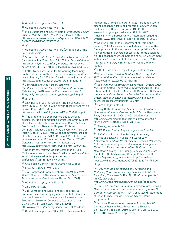57 Guidelines, supra note 10, at 13.

58 Guidelines, *supra* note 10, at 13.

59 Mike Chalmers and Lee Williams, Intelligence Facility Casts a Wide Net, THE NEWS JOURNAL, May 7, 2007, http://www.delawareonline.com/apps/pbcs.dll/article?AI D=/20070507/NEWS/705070333.

60  $\frac{1}{d}$ 

61 Guidelines, supra note 10, at F2 (definition of Crime-Pattern Analysis).

62 Steve Lohr, Data Expert is Cautious About Misuse of Information, N.Y. TIMES, Mar. 25, 2003, at C6, available at http://query.nytimes.com/gst/fullpage.html?sec=technology&res=9E07E6D71530F936A15750C0A9659C8B63.

63 Letter from Association for Computing Machinery Public Policy Committee to Sens. John Warner and Carl Levin (January 23, 2003) (on file with author), available at http://www.acm.org/usacm/Letters/tia\_final.html.

64 Jeff Jonas and Jim Harper, Effective Counterterrorism and the Limited Role of Predictive Data Mining, CATO INSTITUTE POLICY ANALYSIS, Dec. 11, 2006, at 1, http://www.cato.org/pubs/pas/pa584.pdf.  $65$  *Id.* at 8.

66 See, DEP'T. OF JUSTICE, OFFICE OF INSPECTOR GENERAL, AUDIT DIVISION, FOLLOW-UP AUDIT OF THE TERRORIST SCREENING CENTER, (Sept. 2007), at iii,

http://www.usdoj.gov/oig/reports/FBI/a0741/final.pdf.

<sup>67</sup> This problem has been pointed out by several experts, including computer scientist Benjamin Kuipers of the University of Texas at Austinand Bruce Schneier. See E-mail from Benjamin Kuipers, Professor, Computer Sciences Department, University of Texas at Austin (Dec. 14, 2002), http://osdir.com/ml/culture.people.interesting-people/2002-12/msg00061.html; Bruce Schneier National Crime Information Center (NCIC) Database Accuracy CRYPTO-GRAM NEWSLETTER, http://www.counterpane.com/crypto-gram-0304.html.

68 Dana Priest, Retired Official Defends the CIA's Performance, WASH. POST, Nov. 5, 2004, at A23, available at http://www.washingtonpost.com/wpdyn/articles/A26485-2004Nov4.html.

69 CRS Fusion Center Report, supra note 2, at 30.

70 5 U.S.C.A. §552a (West 2005).

71 Jay Stanley and Barry Steinhardt, BIGGER MONSTER, WEAKER CHAINS: THE GROWTH OF AN AMERICAN SURVEILLANCE SOCIETY, AMERICAN CIVIL LIBERTIES UNION (Dec. 2002).

72 Guidelines, supra, note 10, at 2.

73 28 C.F.R. Part 23.

<sup>74</sup> Jim Dempsey and Lara Flint provide a useful overview. See Jim Dempsey and Lara Flint, PRIVACY'S GAP: THE LARGELY NON-EXISTENT LEGAL FRAMEWORK FOR GOVERNMENT MINING OF COMMERCIAL DATA, CENTER FOR DEMOCRACY AND TECHNOLOGY, (May 28, 2003),

http://www.cdt.org/security/usapatriot/030528cdt.pdf.

75 Guidelines, supra note 10, at D2. Other examples

include the CAPPS II and Automated Targeting System airline passenger profiling programs. See American Civil Liberties Union, Feature on CAPPS II, www.aclu.org/capps (last visited Oct. 16, 2007); American Civil Liberties Union, Automated Targeting System, www.aclu.org/ats (last visited Oct. 16, 2007).

76 Section 514(e) of the Department of Homeland Security 2007 Appropriations Act states,"[n]one of the funds provided in this or previous appropriations Acts may be utilized to develop or test algorithms assigning risk to passengers whose names are not on Government watchlists." Department of Homeland Security 2007 Appropriations Act, H.R. 5441, 110<sup>th</sup> Cong., §514(e) (2007).

77 CRS Fusion Center Report, supra note 2, at 25.

78 Shane Harris, Shadow Hunters, NAT'L J., April 27, 2007, available at http://nationaljournal.com/about /njweekly/stories/2007/0427nj1.htm.

79 See, National Commission on Terrorist Attacks upon the United States: Tenth Public Hearing (April 14, 2004) (Statement of Robert S. Mueller, III, Director, FBI Before the National Commission on Terrorist Attacks upon the United States), available at http://www.fbi.gov/congress/congress04/mueller041404.htm.

80 Harris, supra note 78.

81 Mary Beth Sheridan and Spencer Hsu, Localities Operate Intelligence Centers to Pool Terror Data, WASH. Post, December 31, 2006, at A03, available at http://www.washingtonpost.com/wp-dyn/content/article/2006/12/30/AR2006123000238.html.

82 Stanley, supra note 32.

83 CRS Fusion Center Report, *supra* note 2, at 28.

84 Building a Partnership Strategy: Improving Information Sharing with State & Local Law Enforcement and the Private Sector: Hearing Before the Subcomm. on Intelligence, Information Sharing and Terrorism Risk Assessment of the H. Comm. on Homeland Security, 110<sup>th</sup> Cong. (May 25, 2007) (statement of R. Gil Kerlikowske, Chief of Police, Seattle Police Department), available at http://homeland. house.gov/SiteDocuments/20070525162207-44751.pdf.  $85$   $1d$ .

86 Report of the Commission on Protecting and Reducing Government Secrecy, Sen. Daniel Patrick Moynihan, Chairman, S. DOC. NO. 105-2, at Appendix G (1997), available at

http://www.fas.org/sgp/library/moynihan/appg.html.

87 Five and Ten Year Homeland Security Goals: Hearing Before the Subcomm. on Homeland Security of the H. Comm. on Appropriations, 110<sup>th</sup> Cong. (2007) (Statement of Brian Michael Jenkins, Senior Adviser, Rand Corporation).

88 NATIONAL COMMISSION ON TERRORIST ATTACKS, THE 9/11 COMMISSION REPORT: FINAL REPORT OF THE NATIONAL COMMISSION ON TERRORIST ATTACKS UPON THE UNITED STATES 417 (2004), available at http://www.9-